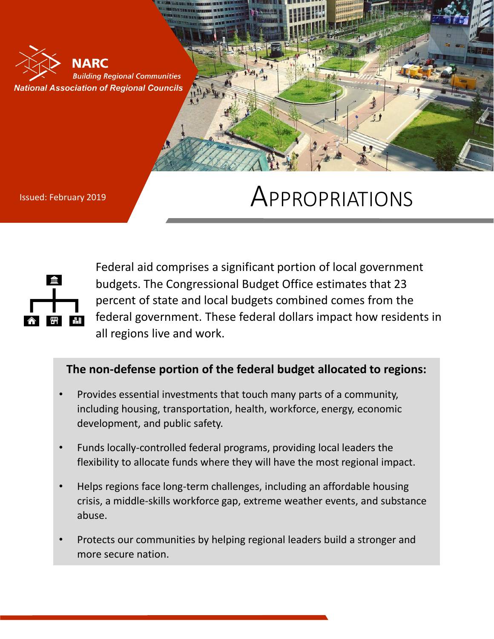

## Issued: February 2019 **APPROPRIATIONS**



Federal aid comprises a significant portion of local government budgets. The Congressional Budget Office estimates that 23 percent of state and local budgets combined comes from the federal government. These federal dollars impact how residents in all regions live and work.

## **The non-defense portion of the federal budget allocated to regions:**

- Provides essential investments that touch many parts of a community, including housing, transportation, health, workforce, energy, economic development, and public safety.
- Funds locally-controlled federal programs, providing local leaders the flexibility to allocate funds where they will have the most regional impact.
- Helps regions face long-term challenges, including an affordable housing crisis, a middle-skills workforce gap, extreme weather events, and substance abuse.
- Protects our communities by helping regional leaders build a stronger and more secure nation.